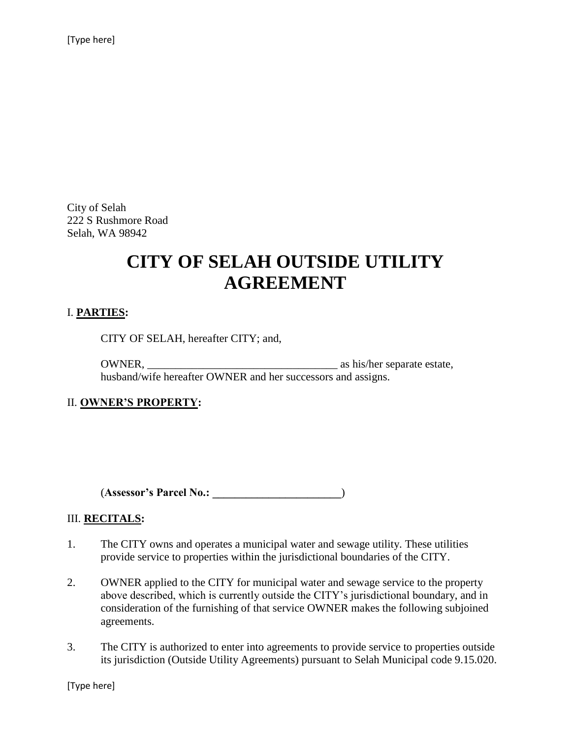[Type here]

City of Selah 222 S Rushmore Road Selah, WA 98942

# **CITY OF SELAH OUTSIDE UTILITY AGREEMENT**

## I. **PARTIES:**

CITY OF SELAH, hereafter CITY; and,

OWNER, \_\_\_\_\_\_\_\_\_\_\_\_\_\_\_\_\_\_\_\_\_\_\_\_\_\_\_\_\_\_\_\_\_\_ as his/her separate estate, husband/wife hereafter OWNER and her successors and assigns.

### II. **OWNER'S PROPERTY:**

(**Assessor's Parcel No.: \_\_\_\_\_\_\_\_\_\_\_\_\_\_\_\_\_\_\_\_\_\_\_**)

#### III. **RECITALS:**

- 1. The CITY owns and operates a municipal water and sewage utility. These utilities provide service to properties within the jurisdictional boundaries of the CITY.
- 2. OWNER applied to the CITY for municipal water and sewage service to the property above described, which is currently outside the CITY's jurisdictional boundary, and in consideration of the furnishing of that service OWNER makes the following subjoined agreements.
- 3. The CITY is authorized to enter into agreements to provide service to properties outside its jurisdiction (Outside Utility Agreements) pursuant to Selah Municipal code 9.15.020.

[Type here]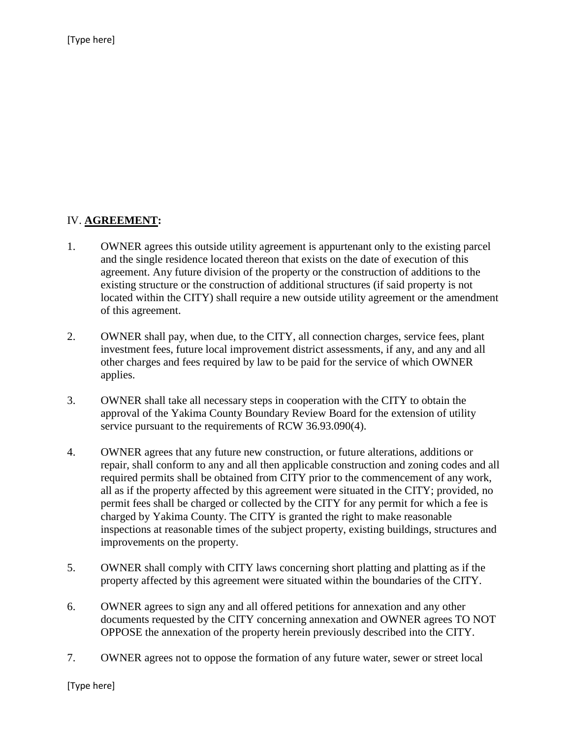## IV. **AGREEMENT:**

- 1. OWNER agrees this outside utility agreement is appurtenant only to the existing parcel and the single residence located thereon that exists on the date of execution of this agreement. Any future division of the property or the construction of additions to the existing structure or the construction of additional structures (if said property is not located within the CITY) shall require a new outside utility agreement or the amendment of this agreement.
- 2. OWNER shall pay, when due, to the CITY, all connection charges, service fees, plant investment fees, future local improvement district assessments, if any, and any and all other charges and fees required by law to be paid for the service of which OWNER applies.
- 3. OWNER shall take all necessary steps in cooperation with the CITY to obtain the approval of the Yakima County Boundary Review Board for the extension of utility service pursuant to the requirements of RCW 36.93.090(4).
- 4. OWNER agrees that any future new construction, or future alterations, additions or repair, shall conform to any and all then applicable construction and zoning codes and all required permits shall be obtained from CITY prior to the commencement of any work, all as if the property affected by this agreement were situated in the CITY; provided, no permit fees shall be charged or collected by the CITY for any permit for which a fee is charged by Yakima County. The CITY is granted the right to make reasonable inspections at reasonable times of the subject property, existing buildings, structures and improvements on the property.
- 5. OWNER shall comply with CITY laws concerning short platting and platting as if the property affected by this agreement were situated within the boundaries of the CITY.
- 6. OWNER agrees to sign any and all offered petitions for annexation and any other documents requested by the CITY concerning annexation and OWNER agrees TO NOT OPPOSE the annexation of the property herein previously described into the CITY.
- 7. OWNER agrees not to oppose the formation of any future water, sewer or street local

[Type here]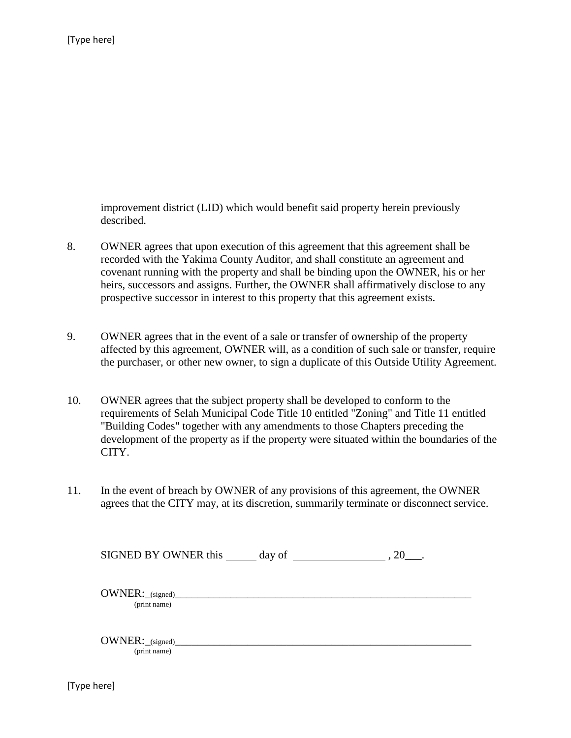improvement district (LID) which would benefit said property herein previously described.

- 8. OWNER agrees that upon execution of this agreement that this agreement shall be recorded with the Yakima County Auditor, and shall constitute an agreement and covenant running with the property and shall be binding upon the OWNER, his or her heirs, successors and assigns. Further, the OWNER shall affirmatively disclose to any prospective successor in interest to this property that this agreement exists.
- 9. OWNER agrees that in the event of a sale or transfer of ownership of the property affected by this agreement, OWNER will, as a condition of such sale or transfer, require the purchaser, or other new owner, to sign a duplicate of this Outside Utility Agreement.
- 10. OWNER agrees that the subject property shall be developed to conform to the requirements of Selah Municipal Code Title 10 entitled "Zoning" and Title 11 entitled "Building Codes" together with any amendments to those Chapters preceding the development of the property as if the property were situated within the boundaries of the CITY.
- 11. In the event of breach by OWNER of any provisions of this agreement, the OWNER agrees that the CITY may, at its discretion, summarily terminate or disconnect service.

| SIGNED BY OWNER this | day of |  |
|----------------------|--------|--|
|----------------------|--------|--|

OWNER:\_(signed)\_ (print name)

OWNER:\_(signed)\_ (print name)